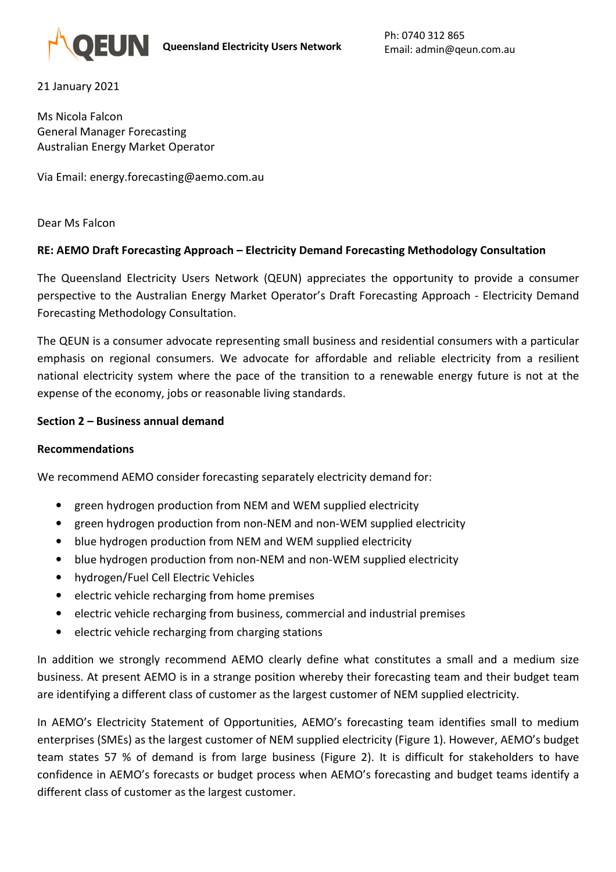21 January 2021

Ms Nicola Falcon General Manager Forecasting Australian Energy Market Operator

Via Email: energy.forecasting@aemo.com.au

Dear Ms Falcon

### **RE: AEMO Draft Forecasting Approach – Electricity Demand Forecasting Methodology Consultation**

The Queensland Electricity Users Network (QEUN) appreciates the opportunity to provide a consumer perspective to the Australian Energy Market Operator's Draft Forecasting Approach - Electricity Demand Forecasting Methodology Consultation.

The QEUN is a consumer advocate representing small business and residential consumers with a particular emphasis on regional consumers. We advocate for affordable and reliable electricity from a resilient national electricity system where the pace of the transition to a renewable energy future is not at the expense of the economy, jobs or reasonable living standards.

### **Section 2 – Business annual demand**

#### **Recommendations**

We recommend AEMO consider forecasting separately electricity demand for:

- green hydrogen production from NEM and WEM supplied electricity
- green hydrogen production from non-NEM and non-WEM supplied electricity
- blue hydrogen production from NEM and WEM supplied electricity
- blue hydrogen production from non-NEM and non-WEM supplied electricity
- hydrogen/Fuel Cell Electric Vehicles
- electric vehicle recharging from home premises
- electric vehicle recharging from business, commercial and industrial premises
- electric vehicle recharging from charging stations

In addition we strongly recommend AEMO clearly define what constitutes a small and a medium size business. At present AEMO is in a strange position whereby their forecasting team and their budget team are identifying a different class of customer as the largest customer of NEM supplied electricity.

In AEMO's Electricity Statement of Opportunities, AEMO's forecasting team identifies small to medium enterprises (SMEs) as the largest customer of NEM supplied electricity (Figure 1). However, AEMO's budget team states 57 % of demand is from large business (Figure 2). It is difficult for stakeholders to have confidence in AEMO's forecasts or budget process when AEMO's forecasting and budget teams identify a different class of customer as the largest customer.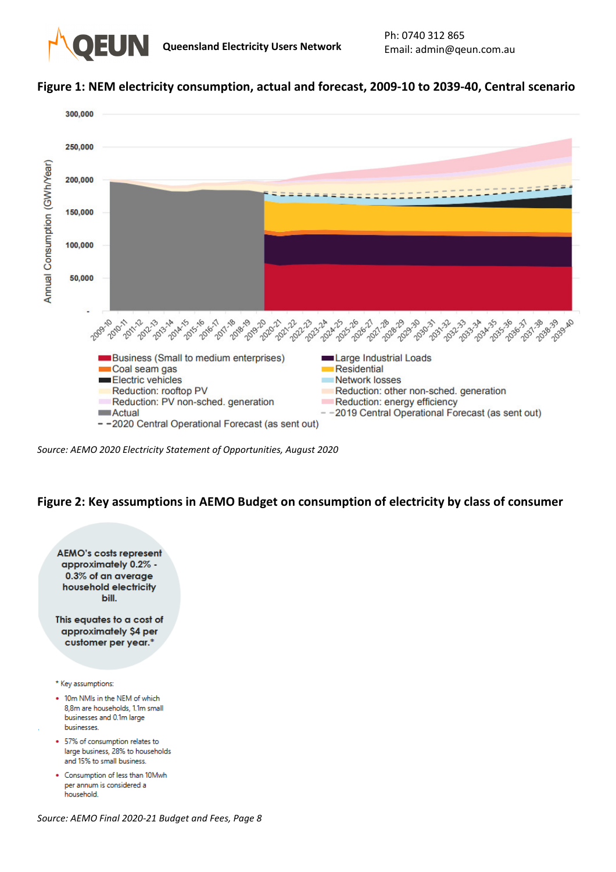

### **Figure 1: NEM electricity consumption, actual and forecast, 2009-10 to 2039-40, Central scenario**



*Source: AEMO 2020 Electricity Statement of Opportunities, August 2020* 

### **Figure 2: Key assumptions in AEMO Budget on consumption of electricity by class of consumer**



*Source: AEMO Final 2020-21 Budget and Fees, Page 8*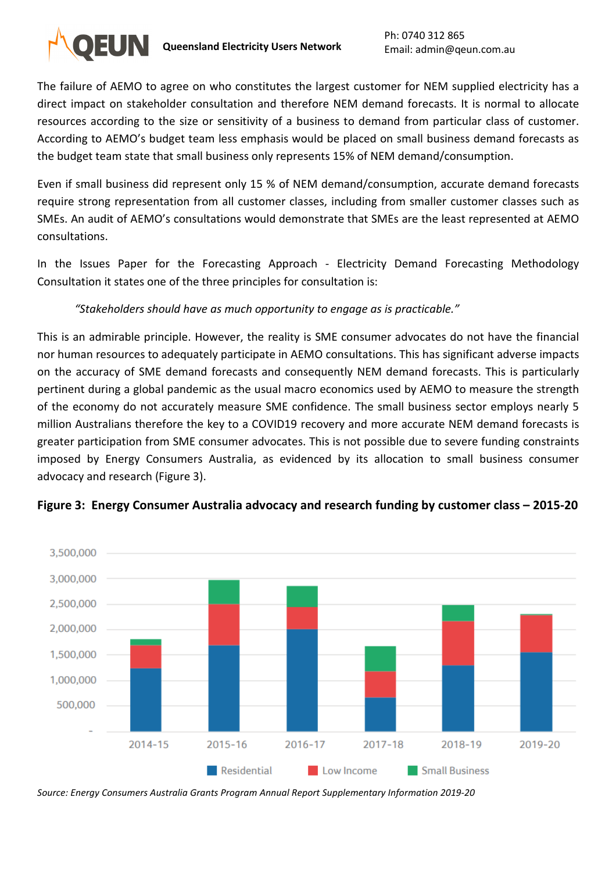

The failure of AEMO to agree on who constitutes the largest customer for NEM supplied electricity has a direct impact on stakeholder consultation and therefore NEM demand forecasts. It is normal to allocate resources according to the size or sensitivity of a business to demand from particular class of customer. According to AEMO's budget team less emphasis would be placed on small business demand forecasts as the budget team state that small business only represents 15% of NEM demand/consumption.

Even if small business did represent only 15 % of NEM demand/consumption, accurate demand forecasts require strong representation from all customer classes, including from smaller customer classes such as SMEs. An audit of AEMO's consultations would demonstrate that SMEs are the least represented at AEMO consultations.

In the Issues Paper for the Forecasting Approach - Electricity Demand Forecasting Methodology Consultation it states one of the three principles for consultation is:

# *"Stakeholders should have as much opportunity to engage as is practicable."*

This is an admirable principle. However, the reality is SME consumer advocates do not have the financial nor human resources to adequately participate in AEMO consultations. This has significant adverse impacts on the accuracy of SME demand forecasts and consequently NEM demand forecasts. This is particularly pertinent during a global pandemic as the usual macro economics used by AEMO to measure the strength of the economy do not accurately measure SME confidence. The small business sector employs nearly 5 million Australians therefore the key to a COVID19 recovery and more accurate NEM demand forecasts is greater participation from SME consumer advocates. This is not possible due to severe funding constraints imposed by Energy Consumers Australia, as evidenced by its allocation to small business consumer advocacy and research (Figure 3).



# **Figure 3: Energy Consumer Australia advocacy and research funding by customer class – 2015-20**

*Source: Energy Consumers Australia Grants Program Annual Report Supplementary Information 2019-20*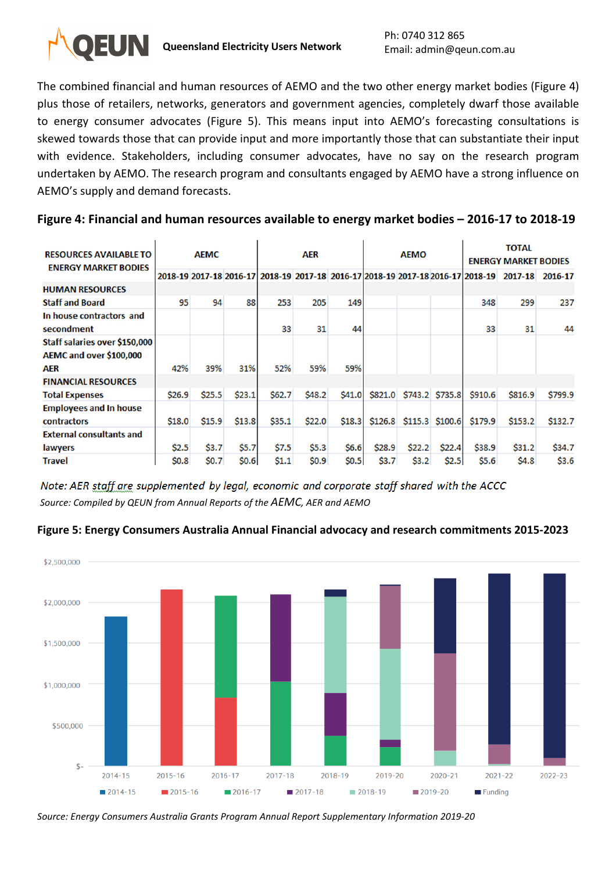

The combined financial and human resources of AEMO and the two other energy market bodies (Figure 4) plus those of retailers, networks, generators and government agencies, completely dwarf those available to energy consumer advocates (Figure 5). This means input into AEMO's forecasting consultations is skewed towards those that can provide input and more importantly those that can substantiate their input with evidence. Stakeholders, including consumer advocates, have no say on the research program undertaken by AEMO. The research program and consultants engaged by AEMO have a strong influence on AEMO's supply and demand forecasts.

## **Figure 4: Financial and human resources available to energy market bodies – 2016-17 to 2018-19**

| <b>RESOURCES AVAILABLE TO</b><br><b>ENERGY MARKET BODIES</b> | <b>AEMC</b> |        |        | <b>AER</b> |        |        | <b>AEMO</b> |                         |                   | <b>TOTAL</b><br><b>ENERGY MARKET BODIES</b>                                     |          |         |
|--------------------------------------------------------------|-------------|--------|--------|------------|--------|--------|-------------|-------------------------|-------------------|---------------------------------------------------------------------------------|----------|---------|
|                                                              |             |        |        |            |        |        |             |                         |                   | 2018-19 2017-18 2016-17 2018-19 2017-18 2016-17 2018-19 2017-18 2016-17 2018-19 | 2017-18  | 2016-17 |
| <b>HUMAN RESOURCES</b>                                       |             |        |        |            |        |        |             |                         |                   |                                                                                 |          |         |
| <b>Staff and Board</b>                                       | 95          | 94     | 88     | 253        | 205    | 149    |             |                         |                   | 348                                                                             | 299      | 237     |
| In house contractors and<br>secondment                       |             |        |        | 33         | 31     | 44     |             |                         |                   | 33                                                                              | 31       | 44      |
| Staff salaries over \$150,000<br>AEMC and over \$100,000     |             | 39%    |        | 52%        | 59%    | 59%    |             |                         |                   |                                                                                 |          |         |
| AER<br><b>FINANCIAL RESOURCES</b>                            | 42%         |        | 31%    |            |        |        |             |                         |                   |                                                                                 |          |         |
| <b>Total Expenses</b>                                        | \$26.9      | \$25.5 | \$23.1 | \$62.7     | \$48.2 | \$41.0 |             | \$821.0 \$743.2 \$735.8 |                   | \$910.6                                                                         | \$816.9  | \$799.9 |
| <b>Employees and In house</b><br><b>contractors</b>          | \$18.0      | \$15.9 | \$13.8 | \$35.1     | \$22.0 | \$18.3 | \$126.8     |                         | $$115.3$ $$100.6$ | <b>\$179.9</b>                                                                  | \$153.2  | \$132.7 |
| <b>External consultants and</b>                              |             |        |        |            |        |        |             |                         |                   |                                                                                 |          |         |
| lawyers                                                      | \$2.5       | \$3.7  | \$5.7  | \$7.5      | \$5.3  | \$6.6  | \$28.9      | \$22.2                  | \$22.4            | \$38.9                                                                          | \$31.2\$ | \$34.7  |
| <b>Travel</b>                                                | \$0.8       | \$0.7  | \$0.6  | \$1.1      | \$0.9  | \$0.5  | \$3.7       | \$3.2                   | \$2.5             | \$5.6                                                                           | \$4.8    | \$3.6   |

Note: AER staff are supplemented by legal, economic and corporate staff shared with the ACCC *Source: Compiled by QEUN from Annual Reports of the AEMC, AER and AEMO*

### **Figure 5: Energy Consumers Australia Annual Financial advocacy and research commitments 2015-2023**



*Source: Energy Consumers Australia Grants Program Annual Report Supplementary Information 2019-20*